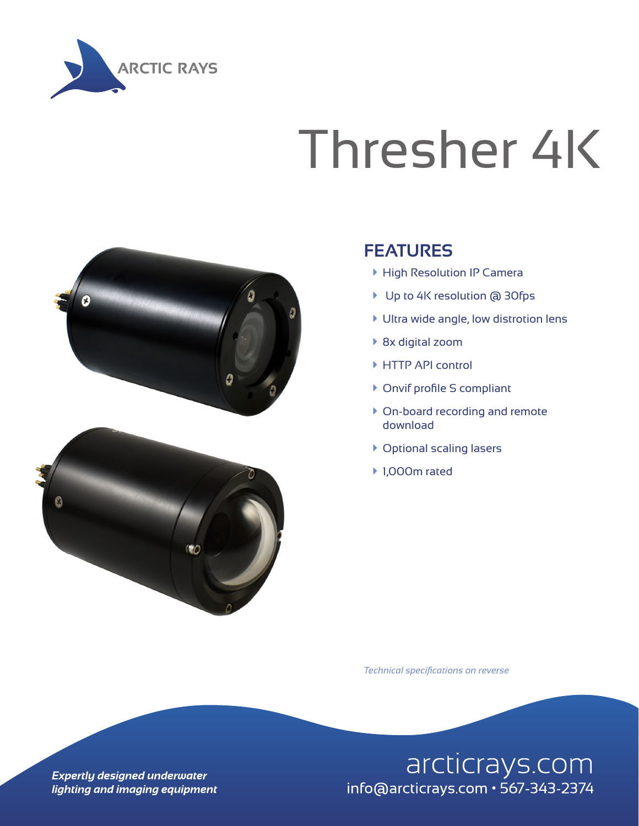

## Thresher 4K





## **FEATURES**

- ▶ High Resolution IP Camera
- ▶ Up to 4K resolution @ 30fps
- $\blacktriangleright$  Ultra wide angle, low distrotion lens
- ▶ 8x digital zoom
- ▶ HTTP API control
- ▶ Onvif profile S compliant
- ▶ On-board recording and remote download
- **Coptional scaling lasers**
- ▶ 1,000m rated

*Technical specifications on reverse*

arcticrays.com info@arcticrays.com · 567-343-2374

**Expertly designed underwater** lighting and imaging equipment